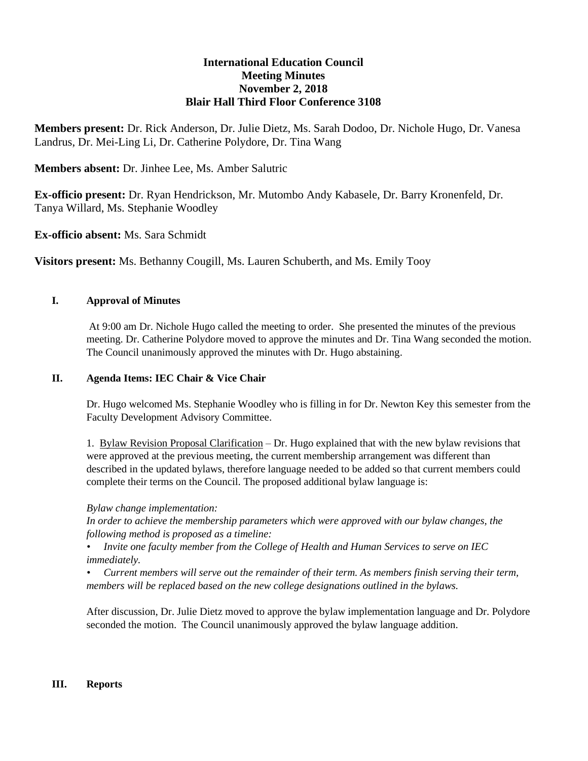# **International Education Council Meeting Minutes November 2, 2018 Blair Hall Third Floor Conference 3108**

**Members present:** Dr. Rick Anderson, Dr. Julie Dietz, Ms. Sarah Dodoo, Dr. Nichole Hugo, Dr. Vanesa Landrus, Dr. Mei-Ling Li, Dr. Catherine Polydore, Dr. Tina Wang

# **Members absent:** Dr. Jinhee Lee, Ms. Amber Salutric

**Ex-officio present:** Dr. Ryan Hendrickson, Mr. Mutombo Andy Kabasele, Dr. Barry Kronenfeld, Dr. Tanya Willard, Ms. Stephanie Woodley

**Ex-officio absent:** Ms. Sara Schmidt

**Visitors present:** Ms. Bethanny Cougill, Ms. Lauren Schuberth, and Ms. Emily Tooy

## **I. Approval of Minutes**

At 9:00 am Dr. Nichole Hugo called the meeting to order. She presented the minutes of the previous meeting. Dr. Catherine Polydore moved to approve the minutes and Dr. Tina Wang seconded the motion. The Council unanimously approved the minutes with Dr. Hugo abstaining.

### **II. Agenda Items: IEC Chair & Vice Chair**

Dr. Hugo welcomed Ms. Stephanie Woodley who is filling in for Dr. Newton Key this semester from the Faculty Development Advisory Committee.

1. Bylaw Revision Proposal Clarification – Dr. Hugo explained that with the new bylaw revisions that were approved at the previous meeting, the current membership arrangement was different than described in the updated bylaws, therefore language needed to be added so that current members could complete their terms on the Council. The proposed additional bylaw language is:

### *Bylaw change implementation:*

*In order to achieve the membership parameters which were approved with our bylaw changes, the following method is proposed as a timeline:*

*• Invite one faculty member from the College of Health and Human Services to serve on IEC immediately.*

*• Current members will serve out the remainder of their term. As members finish serving their term, members will be replaced based on the new college designations outlined in the bylaws.* 

After discussion, Dr. Julie Dietz moved to approve the bylaw implementation language and Dr. Polydore seconded the motion. The Council unanimously approved the bylaw language addition.

### **III. Reports**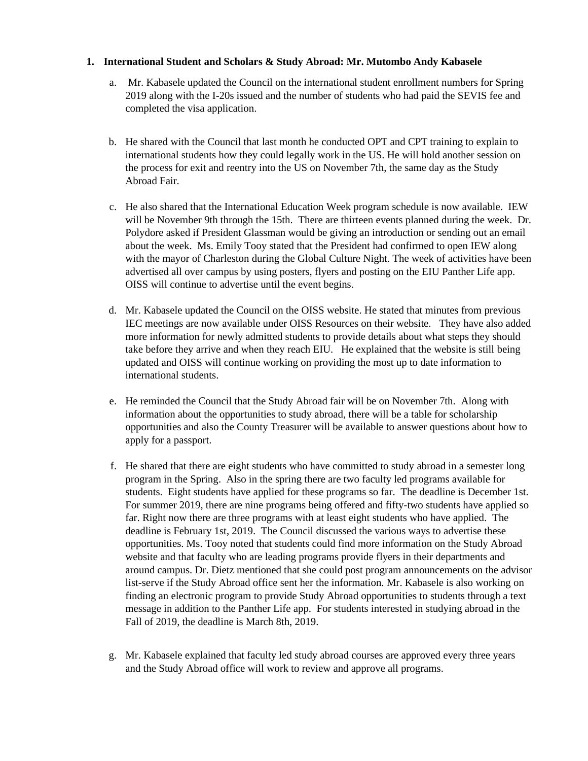### **1. International Student and Scholars & Study Abroad: Mr. Mutombo Andy Kabasele**

- a. Mr. Kabasele updated the Council on the international student enrollment numbers for Spring 2019 along with the I-20s issued and the number of students who had paid the SEVIS fee and completed the visa application.
- b. He shared with the Council that last month he conducted OPT and CPT training to explain to international students how they could legally work in the US. He will hold another session on the process for exit and reentry into the US on November 7th, the same day as the Study Abroad Fair.
- c. He also shared that the International Education Week program schedule is now available. IEW will be November 9th through the 15th. There are thirteen events planned during the week. Dr. Polydore asked if President Glassman would be giving an introduction or sending out an email about the week. Ms. Emily Tooy stated that the President had confirmed to open IEW along with the mayor of Charleston during the Global Culture Night. The week of activities have been advertised all over campus by using posters, flyers and posting on the EIU Panther Life app. OISS will continue to advertise until the event begins.
- d. Mr. Kabasele updated the Council on the OISS website. He stated that minutes from previous IEC meetings are now available under OISS Resources on their website. They have also added more information for newly admitted students to provide details about what steps they should take before they arrive and when they reach EIU. He explained that the website is still being updated and OISS will continue working on providing the most up to date information to international students.
- e. He reminded the Council that the Study Abroad fair will be on November 7th. Along with information about the opportunities to study abroad, there will be a table for scholarship opportunities and also the County Treasurer will be available to answer questions about how to apply for a passport.
- f. He shared that there are eight students who have committed to study abroad in a semester long program in the Spring. Also in the spring there are two faculty led programs available for students. Eight students have applied for these programs so far. The deadline is December 1st. For summer 2019, there are nine programs being offered and fifty-two students have applied so far. Right now there are three programs with at least eight students who have applied. The deadline is February 1st, 2019. The Council discussed the various ways to advertise these opportunities. Ms. Tooy noted that students could find more information on the Study Abroad website and that faculty who are leading programs provide flyers in their departments and around campus. Dr. Dietz mentioned that she could post program announcements on the advisor list-serve if the Study Abroad office sent her the information. Mr. Kabasele is also working on finding an electronic program to provide Study Abroad opportunities to students through a text message in addition to the Panther Life app. For students interested in studying abroad in the Fall of 2019, the deadline is March 8th, 2019.
- g. Mr. Kabasele explained that faculty led study abroad courses are approved every three years and the Study Abroad office will work to review and approve all programs.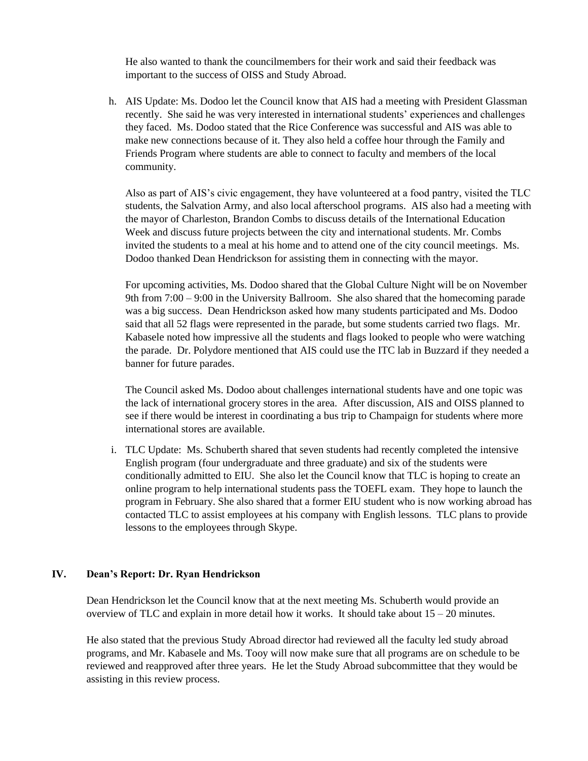He also wanted to thank the councilmembers for their work and said their feedback was important to the success of OISS and Study Abroad.

h. AIS Update: Ms. Dodoo let the Council know that AIS had a meeting with President Glassman recently. She said he was very interested in international students' experiences and challenges they faced. Ms. Dodoo stated that the Rice Conference was successful and AIS was able to make new connections because of it. They also held a coffee hour through the Family and Friends Program where students are able to connect to faculty and members of the local community.

Also as part of AIS's civic engagement, they have volunteered at a food pantry, visited the TLC students, the Salvation Army, and also local afterschool programs. AIS also had a meeting with the mayor of Charleston, Brandon Combs to discuss details of the International Education Week and discuss future projects between the city and international students. Mr. Combs invited the students to a meal at his home and to attend one of the city council meetings. Ms. Dodoo thanked Dean Hendrickson for assisting them in connecting with the mayor.

For upcoming activities, Ms. Dodoo shared that the Global Culture Night will be on November 9th from 7:00 – 9:00 in the University Ballroom. She also shared that the homecoming parade was a big success. Dean Hendrickson asked how many students participated and Ms. Dodoo said that all 52 flags were represented in the parade, but some students carried two flags. Mr. Kabasele noted how impressive all the students and flags looked to people who were watching the parade. Dr. Polydore mentioned that AIS could use the ITC lab in Buzzard if they needed a banner for future parades.

The Council asked Ms. Dodoo about challenges international students have and one topic was the lack of international grocery stores in the area. After discussion, AIS and OISS planned to see if there would be interest in coordinating a bus trip to Champaign for students where more international stores are available.

i. TLC Update: Ms. Schuberth shared that seven students had recently completed the intensive English program (four undergraduate and three graduate) and six of the students were conditionally admitted to EIU. She also let the Council know that TLC is hoping to create an online program to help international students pass the TOEFL exam. They hope to launch the program in February. She also shared that a former EIU student who is now working abroad has contacted TLC to assist employees at his company with English lessons. TLC plans to provide lessons to the employees through Skype.

#### **IV. Dean's Report: Dr. Ryan Hendrickson**

Dean Hendrickson let the Council know that at the next meeting Ms. Schuberth would provide an overview of TLC and explain in more detail how it works. It should take about  $15 - 20$  minutes.

He also stated that the previous Study Abroad director had reviewed all the faculty led study abroad programs, and Mr. Kabasele and Ms. Tooy will now make sure that all programs are on schedule to be reviewed and reapproved after three years. He let the Study Abroad subcommittee that they would be assisting in this review process.